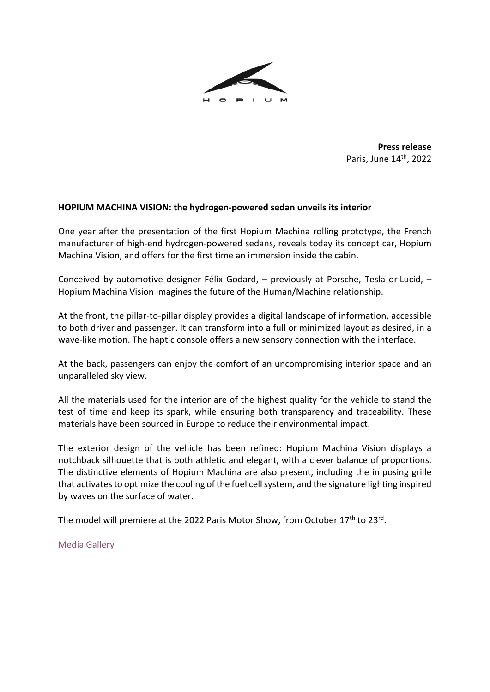

**Press release** Paris, June 14th, 2022

## **HOPIUM MACHINA VISION: the hydrogen-powered sedan unveils its interior**

One year after the presentation of the first Hopium Machina rolling prototype, the French manufacturer of high-end hydrogen-powered sedans, reveals today its concept car, Hopium Machina Vision, and offers for the first time an immersion inside the cabin.

Conceived by automotive designer Félix Godard, – previously at Porsche, Tesla or Lucid, – Hopium Machina Vision imagines the future of the Human/Machine relationship.

At the front, the pillar-to-pillar display provides a digital landscape of information, accessible to both driver and passenger. It can transform into a full or minimized layout as desired, in a wave-like motion. The haptic console offers a new sensory connection with the interface.

At the back, passengers can enjoy the comfort of an uncompromising interior space and an unparalleled sky view.

All the materials used for the interior are of the highest quality for the vehicle to stand the test of time and keep its spark, while ensuring both transparency and traceability. These materials have been sourced in Europe to reduce their environmental impact.

The exterior design of the vehicle has been refined: Hopium Machina Vision displays a notchback silhouette that is both athletic and elegant, with a clever balance of proportions. The distinctive elements of Hopium Machina are also present, including the imposing grille that activates to optimize the cooling of the fuel cell system, and the signature lighting inspired by waves on the surface of water.

The model will premiere at the 2022 Paris Motor Show, from October 17<sup>th</sup> to 23<sup>rd</sup>.

[Media Gallery](https://www.dropbox.com/scl/fo/iuzmzy04v0mknxk50nmvq/h?dl=0&rlkey=f2glf6w0ryyknll7epzks2ser)